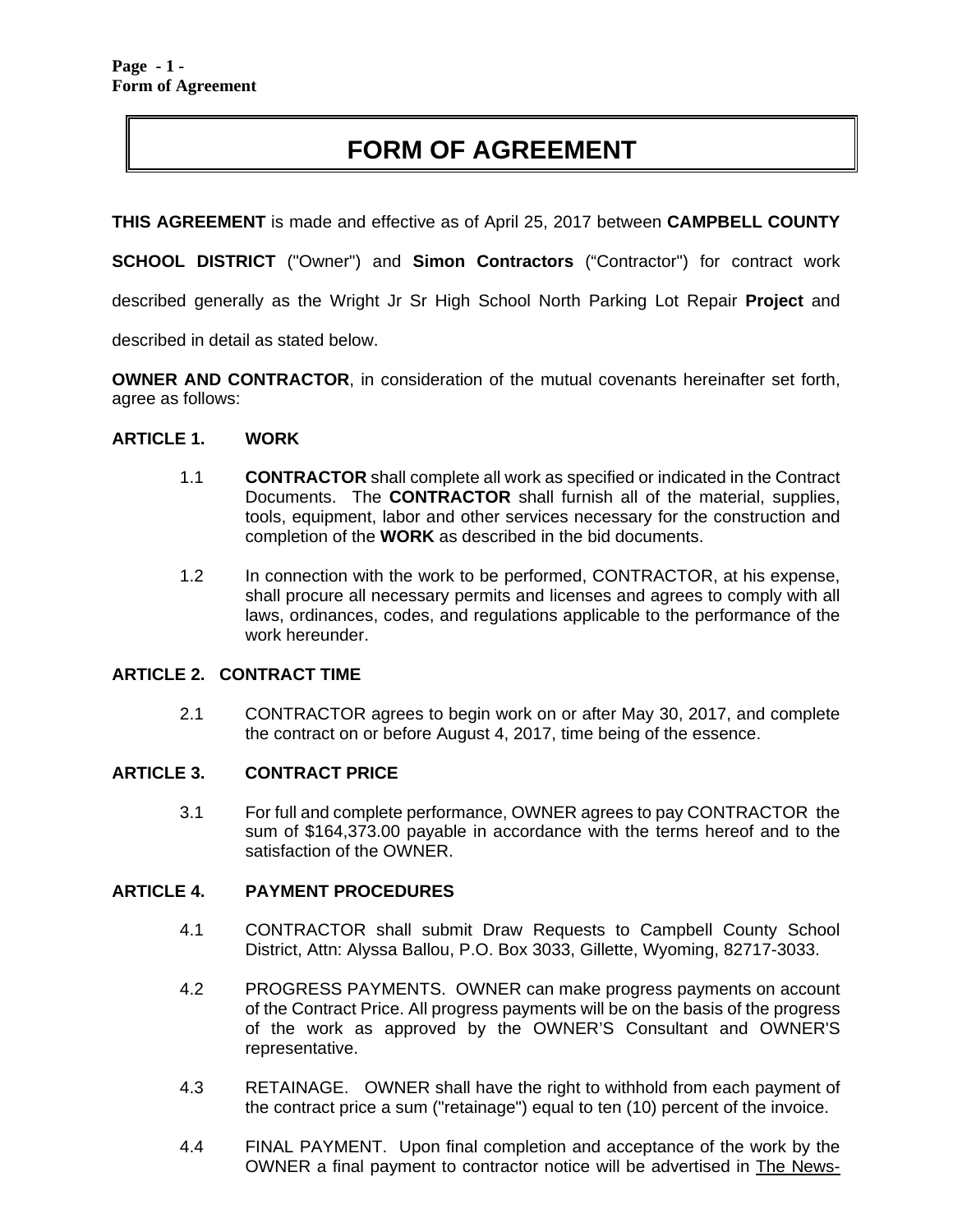# **FORM OF AGREEMENT**

**THIS AGREEMENT** is made and effective as of April 25, 2017 between **CAMPBELL COUNTY** 

**SCHOOL DISTRICT** ("Owner") and **Simon Contractors** ("Contractor") for contract work

described generally as the Wright Jr Sr High School North Parking Lot Repair **Project** and

described in detail as stated below.

**OWNER AND CONTRACTOR**, in consideration of the mutual covenants hereinafter set forth, agree as follows:

#### **ARTICLE 1. WORK**

- 1.1 **CONTRACTOR** shall complete all work as specified or indicated in the Contract Documents. The **CONTRACTOR** shall furnish all of the material, supplies, tools, equipment, labor and other services necessary for the construction and completion of the **WORK** as described in the bid documents.
- 1.2 In connection with the work to be performed, CONTRACTOR, at his expense, shall procure all necessary permits and licenses and agrees to comply with all laws, ordinances, codes, and regulations applicable to the performance of the work hereunder.

#### **ARTICLE 2. CONTRACT TIME**

2.1 CONTRACTOR agrees to begin work on or after May 30, 2017, and complete the contract on or before August 4, 2017, time being of the essence.

#### **ARTICLE 3. CONTRACT PRICE**

3.1 For full and complete performance, OWNER agrees to pay CONTRACTOR the sum of \$164,373.00 payable in accordance with the terms hereof and to the satisfaction of the OWNER.

#### **ARTICLE 4. PAYMENT PROCEDURES**

- 4.1 CONTRACTOR shall submit Draw Requests to Campbell County School District, Attn: Alyssa Ballou, P.O. Box 3033, Gillette, Wyoming, 82717-3033.
- 4.2 PROGRESS PAYMENTS. OWNER can make progress payments on account of the Contract Price. All progress payments will be on the basis of the progress of the work as approved by the OWNER'S Consultant and OWNER'S representative.
- 4.3 RETAINAGE. OWNER shall have the right to withhold from each payment of the contract price a sum ("retainage") equal to ten (10) percent of the invoice.
- 4.4 FINAL PAYMENT. Upon final completion and acceptance of the work by the OWNER a final payment to contractor notice will be advertised in The News-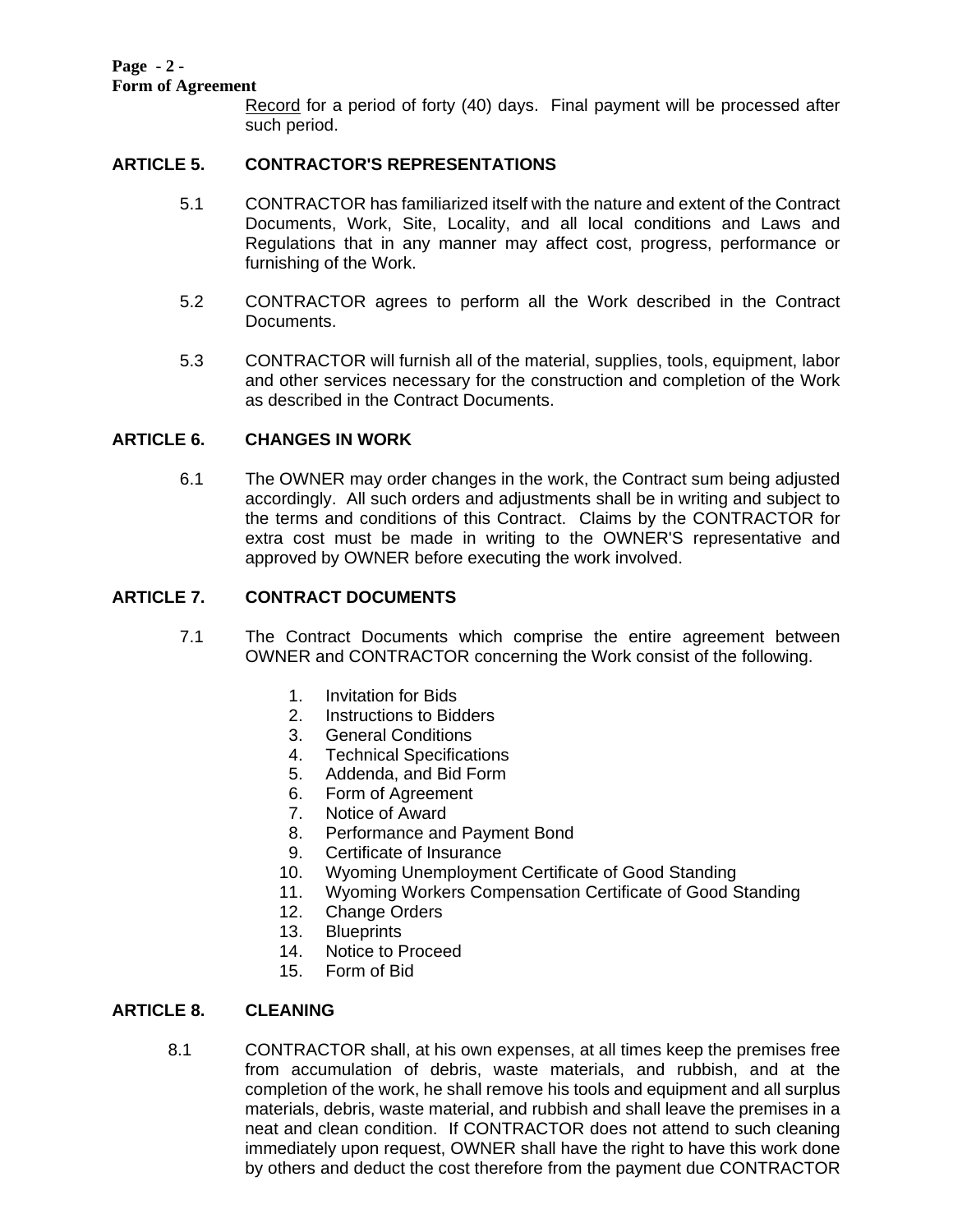#### **Page - 2 - Form of Agreement**

Record for a period of forty (40) days. Final payment will be processed after such period.

# **ARTICLE 5. CONTRACTOR'S REPRESENTATIONS**

- 5.1 CONTRACTOR has familiarized itself with the nature and extent of the Contract Documents, Work, Site, Locality, and all local conditions and Laws and Regulations that in any manner may affect cost, progress, performance or furnishing of the Work.
- 5.2 CONTRACTOR agrees to perform all the Work described in the Contract Documents.
- 5.3 CONTRACTOR will furnish all of the material, supplies, tools, equipment, labor and other services necessary for the construction and completion of the Work as described in the Contract Documents.

# **ARTICLE 6. CHANGES IN WORK**

6.1 The OWNER may order changes in the work, the Contract sum being adjusted accordingly. All such orders and adjustments shall be in writing and subject to the terms and conditions of this Contract. Claims by the CONTRACTOR for extra cost must be made in writing to the OWNER'S representative and approved by OWNER before executing the work involved.

# **ARTICLE 7. CONTRACT DOCUMENTS**

- 7.1 The Contract Documents which comprise the entire agreement between OWNER and CONTRACTOR concerning the Work consist of the following.
	- 1. Invitation for Bids
	- 2. Instructions to Bidders
	- 3. General Conditions
	- 4. Technical Specifications
	- 5. Addenda, and Bid Form
	- 6. Form of Agreement
	- 7. Notice of Award
	- 8. Performance and Payment Bond
	- 9. Certificate of Insurance
	- 10. Wyoming Unemployment Certificate of Good Standing
	- 11. Wyoming Workers Compensation Certificate of Good Standing
	- 12. Change Orders
	- 13. Blueprints
	- 14. Notice to Proceed
	- 15. Form of Bid

# **ARTICLE 8. CLEANING**

8.1 CONTRACTOR shall, at his own expenses, at all times keep the premises free from accumulation of debris, waste materials, and rubbish, and at the completion of the work, he shall remove his tools and equipment and all surplus materials, debris, waste material, and rubbish and shall leave the premises in a neat and clean condition. If CONTRACTOR does not attend to such cleaning immediately upon request, OWNER shall have the right to have this work done by others and deduct the cost therefore from the payment due CONTRACTOR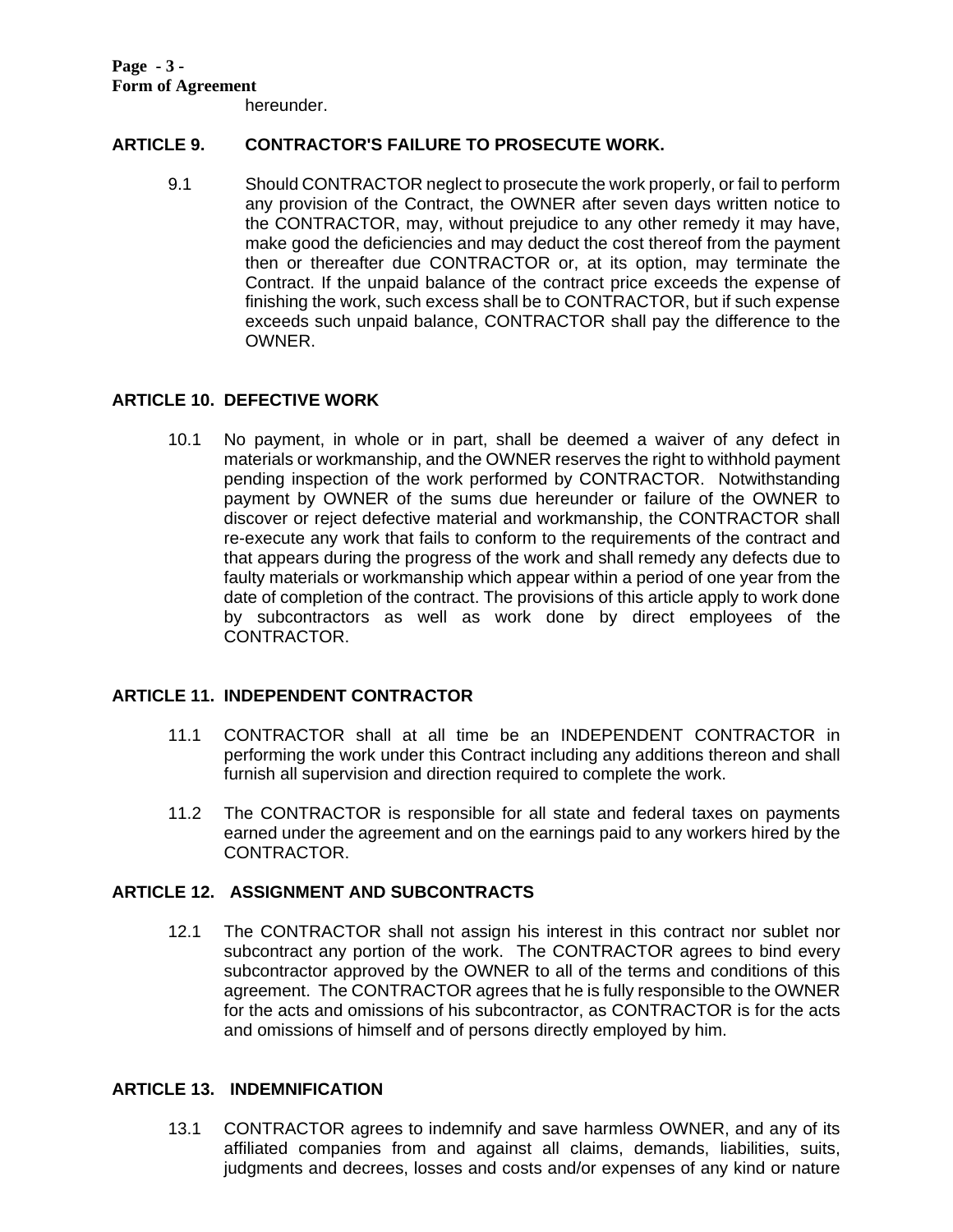hereunder.

# **ARTICLE 9. CONTRACTOR'S FAILURE TO PROSECUTE WORK.**

9.1 Should CONTRACTOR neglect to prosecute the work properly, or fail to perform any provision of the Contract, the OWNER after seven days written notice to the CONTRACTOR, may, without prejudice to any other remedy it may have, make good the deficiencies and may deduct the cost thereof from the payment then or thereafter due CONTRACTOR or, at its option, may terminate the Contract. If the unpaid balance of the contract price exceeds the expense of finishing the work, such excess shall be to CONTRACTOR, but if such expense exceeds such unpaid balance, CONTRACTOR shall pay the difference to the OWNER.

# **ARTICLE 10. DEFECTIVE WORK**

10.1 No payment, in whole or in part, shall be deemed a waiver of any defect in materials or workmanship, and the OWNER reserves the right to withhold payment pending inspection of the work performed by CONTRACTOR. Notwithstanding payment by OWNER of the sums due hereunder or failure of the OWNER to discover or reject defective material and workmanship, the CONTRACTOR shall re-execute any work that fails to conform to the requirements of the contract and that appears during the progress of the work and shall remedy any defects due to faulty materials or workmanship which appear within a period of one year from the date of completion of the contract. The provisions of this article apply to work done by subcontractors as well as work done by direct employees of the CONTRACTOR.

## **ARTICLE 11. INDEPENDENT CONTRACTOR**

- 11.1 CONTRACTOR shall at all time be an INDEPENDENT CONTRACTOR in performing the work under this Contract including any additions thereon and shall furnish all supervision and direction required to complete the work.
- 11.2 The CONTRACTOR is responsible for all state and federal taxes on payments earned under the agreement and on the earnings paid to any workers hired by the CONTRACTOR.

# **ARTICLE 12. ASSIGNMENT AND SUBCONTRACTS**

12.1 The CONTRACTOR shall not assign his interest in this contract nor sublet nor subcontract any portion of the work. The CONTRACTOR agrees to bind every subcontractor approved by the OWNER to all of the terms and conditions of this agreement. The CONTRACTOR agrees that he is fully responsible to the OWNER for the acts and omissions of his subcontractor, as CONTRACTOR is for the acts and omissions of himself and of persons directly employed by him.

# **ARTICLE 13. INDEMNIFICATION**

13.1 CONTRACTOR agrees to indemnify and save harmless OWNER, and any of its affiliated companies from and against all claims, demands, liabilities, suits, judgments and decrees, losses and costs and/or expenses of any kind or nature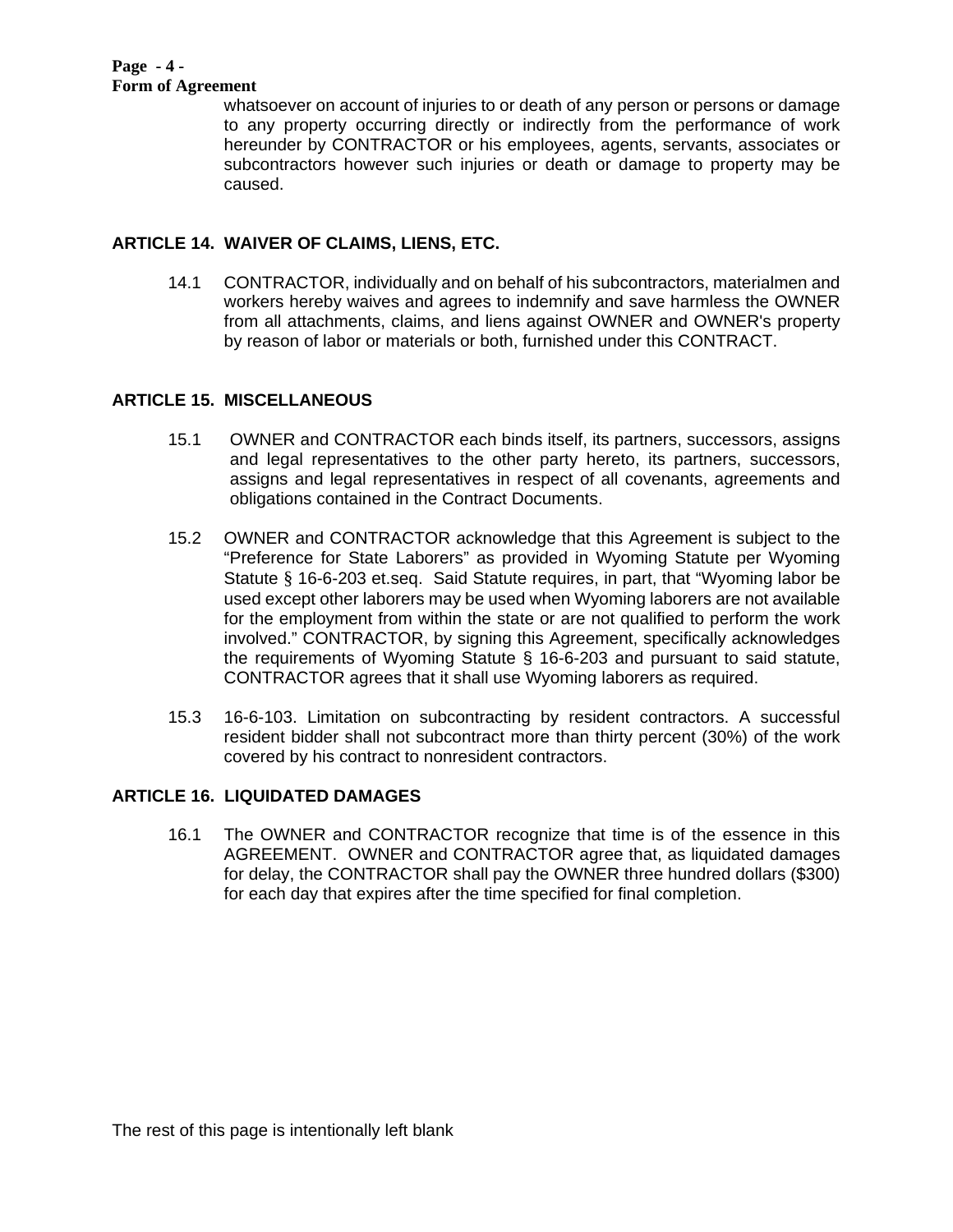#### **Page - 4 - Form of Agreement**

whatsoever on account of injuries to or death of any person or persons or damage to any property occurring directly or indirectly from the performance of work hereunder by CONTRACTOR or his employees, agents, servants, associates or subcontractors however such injuries or death or damage to property may be caused.

# **ARTICLE 14. WAIVER OF CLAIMS, LIENS, ETC.**

14.1 CONTRACTOR, individually and on behalf of his subcontractors, materialmen and workers hereby waives and agrees to indemnify and save harmless the OWNER from all attachments, claims, and liens against OWNER and OWNER's property by reason of labor or materials or both, furnished under this CONTRACT.

# **ARTICLE 15. MISCELLANEOUS**

- 15.1 OWNER and CONTRACTOR each binds itself, its partners, successors, assigns and legal representatives to the other party hereto, its partners, successors, assigns and legal representatives in respect of all covenants, agreements and obligations contained in the Contract Documents.
- 15.2 OWNER and CONTRACTOR acknowledge that this Agreement is subject to the "Preference for State Laborers" as provided in Wyoming Statute per Wyoming Statute § 16-6-203 et.seq. Said Statute requires, in part, that "Wyoming labor be used except other laborers may be used when Wyoming laborers are not available for the employment from within the state or are not qualified to perform the work involved." CONTRACTOR, by signing this Agreement, specifically acknowledges the requirements of Wyoming Statute § 16-6-203 and pursuant to said statute, CONTRACTOR agrees that it shall use Wyoming laborers as required.
- 15.3 16-6-103. Limitation on subcontracting by resident contractors. A successful resident bidder shall not subcontract more than thirty percent (30%) of the work covered by his contract to nonresident contractors.

# **ARTICLE 16. LIQUIDATED DAMAGES**

 16.1 The OWNER and CONTRACTOR recognize that time is of the essence in this AGREEMENT. OWNER and CONTRACTOR agree that, as liquidated damages for delay, the CONTRACTOR shall pay the OWNER three hundred dollars (\$300) for each day that expires after the time specified for final completion.